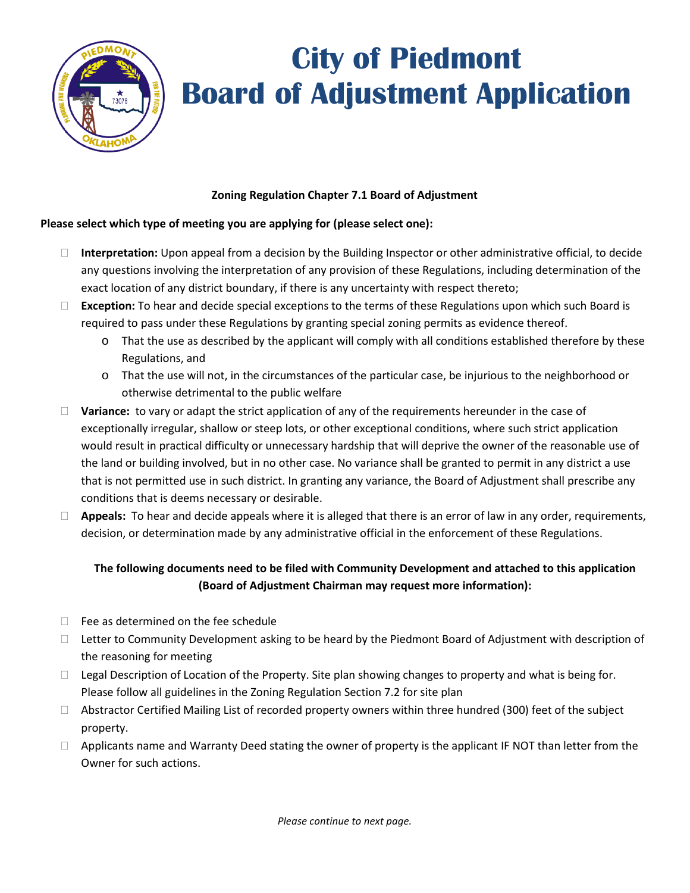

## **City of Piedmont Board of Adjustment Application**

## **Zoning Regulation Chapter 7.1 Board of Adjustment**

## **Please select which type of meeting you are applying for (please select one):**

- **Interpretation:** Upon appeal from a decision by the Building Inspector or other administrative official, to decide any questions involving the interpretation of any provision of these Regulations, including determination of the exact location of any district boundary, if there is any uncertainty with respect thereto;
- **Exception:** To hear and decide special exceptions to the terms of these Regulations upon which such Board is required to pass under these Regulations by granting special zoning permits as evidence thereof.
	- o That the use as described by the applicant will comply with all conditions established therefore by these Regulations, and
	- o That the use will not, in the circumstances of the particular case, be injurious to the neighborhood or otherwise detrimental to the public welfare
- **Variance:** to vary or adapt the strict application of any of the requirements hereunder in the case of exceptionally irregular, shallow or steep lots, or other exceptional conditions, where such strict application would result in practical difficulty or unnecessary hardship that will deprive the owner of the reasonable use of the land or building involved, but in no other case. No variance shall be granted to permit in any district a use that is not permitted use in such district. In granting any variance, the Board of Adjustment shall prescribe any conditions that is deems necessary or desirable.
- **Appeals:** To hear and decide appeals where it is alleged that there is an error of law in any order, requirements, decision, or determination made by any administrative official in the enforcement of these Regulations.

## **The following documents need to be filed with Community Development and attached to this application (Board of Adjustment Chairman may request more information):**

- $\Box$  Fee as determined on the fee schedule
- $\Box$  Letter to Community Development asking to be heard by the Piedmont Board of Adjustment with description of the reasoning for meeting
- $\Box$  Legal Description of Location of the Property. Site plan showing changes to property and what is being for. Please follow all guidelines in the Zoning Regulation Section 7.2 for site plan
- $\Box$  Abstractor Certified Mailing List of recorded property owners within three hundred (300) feet of the subject property.
- $\Box$  Applicants name and Warranty Deed stating the owner of property is the applicant IF NOT than letter from the Owner for such actions.

*Please continue to next page.*